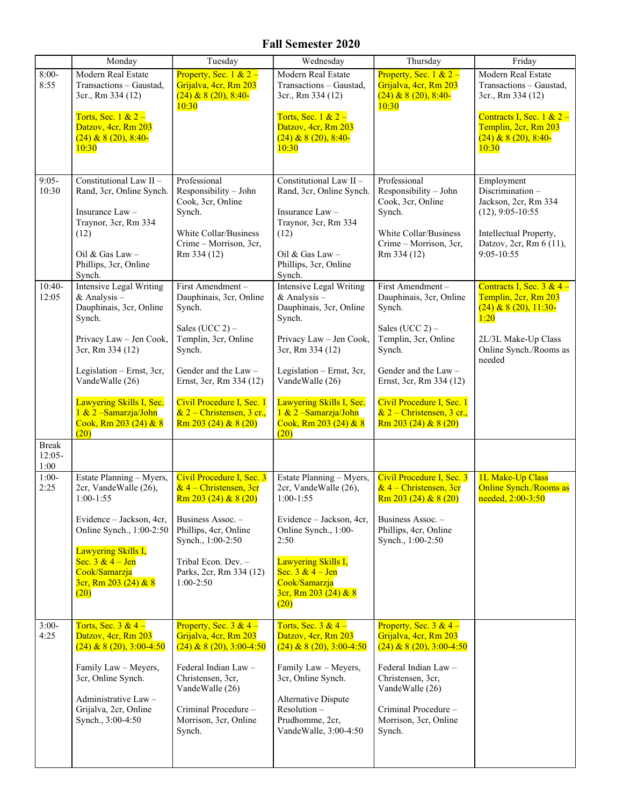## Fall Semester 2020

|                                                                          | Monday                                                                                                                                                                                                                                                                                                                                                                                          | Tuesday                                                                                                                                                                                                                                                                                                                                                                                                    | Wednesday                                                                                                                                                                                                                                                                                                                                                                                           | Thursday                                                                                                                                                                                                                                                                                                                                                                                                   | Friday                                                                                                                                                                                                                         |
|--------------------------------------------------------------------------|-------------------------------------------------------------------------------------------------------------------------------------------------------------------------------------------------------------------------------------------------------------------------------------------------------------------------------------------------------------------------------------------------|------------------------------------------------------------------------------------------------------------------------------------------------------------------------------------------------------------------------------------------------------------------------------------------------------------------------------------------------------------------------------------------------------------|-----------------------------------------------------------------------------------------------------------------------------------------------------------------------------------------------------------------------------------------------------------------------------------------------------------------------------------------------------------------------------------------------------|------------------------------------------------------------------------------------------------------------------------------------------------------------------------------------------------------------------------------------------------------------------------------------------------------------------------------------------------------------------------------------------------------------|--------------------------------------------------------------------------------------------------------------------------------------------------------------------------------------------------------------------------------|
| $8:00-$<br>8:55                                                          | Modern Real Estate<br>Transactions - Gaustad,<br>3cr., Rm 334 (12)<br>Torts, Sec. $1 & 2 -$<br>Datzov, 4cr, Rm 203<br>$(24)$ & 8 $(20)$ , 8:40-<br>10:30                                                                                                                                                                                                                                        | Property, Sec. $1 & 2 -$<br>Grijalva, 4cr, Rm 203<br>$(24)$ & 8 $(20)$ , 8:40-<br>10:30                                                                                                                                                                                                                                                                                                                    | Modern Real Estate<br>Transactions - Gaustad,<br>3cr., Rm 334 (12)<br>Torts, Sec. $1 & 2 -$<br>Datzov, 4cr, Rm 203<br>$(24)$ & 8 $(20)$ , 8:40-<br>10:30                                                                                                                                                                                                                                            | Property, Sec. 1 & $2 -$<br>Grijalva, 4cr, Rm 203<br>$(24)$ & 8 $(20)$ , 8:40-<br>10:30                                                                                                                                                                                                                                                                                                                    | Modern Real Estate<br>Transactions - Gaustad,<br>3cr., Rm 334 (12)<br>Contracts I, Sec. $1 \& 2$ –<br>Templin, 2cr, Rm 203<br>$(24)$ & 8 $(20)$ , 8:40-<br>10:30                                                               |
| $9:05-$<br>10:30                                                         | Constitutional Law II -<br>Rand, 3cr, Online Synch.<br>Insurance Law -<br>Traynor, 3cr, Rm 334<br>(12)<br>Oil & Gas Law $-$<br>Phillips, 3cr, Online<br>Synch.                                                                                                                                                                                                                                  | Professional<br>Responsibility - John<br>Cook, 3cr, Online<br>Synch.<br>White Collar/Business<br>Crime - Morrison, 3cr,<br>Rm 334 (12)                                                                                                                                                                                                                                                                     | Constitutional Law II -<br>Rand, 3cr, Online Synch.<br>Insurance $Law -$<br>Traynor, 3cr, Rm 334<br>(12)<br>Oil & Gas Law $-$<br>Phillips, 3cr, Online<br>Synch.                                                                                                                                                                                                                                    | Professional<br>Responsibility - John<br>Cook, 3cr, Online<br>Synch.<br>White Collar/Business<br>Crime – Morrison, 3cr,<br>Rm 334 (12)                                                                                                                                                                                                                                                                     | Employment<br>Discrimination-<br>Jackson, 2cr, Rm 334<br>$(12), 9:05-10:55$<br>Intellectual Property,<br>Datzov, 2cr, Rm 6 (11),<br>9:05-10:55                                                                                 |
| $10:40-$<br>12:05<br><b>Break</b><br>$12:05-$<br>1:00<br>$1:00-$<br>2:25 | Intensive Legal Writing<br>& Analysis $-$<br>Dauphinais, 3cr, Online<br>Synch.<br>Privacy Law - Jen Cook,<br>3cr, Rm 334 (12)<br>Legislation - Ernst, 3cr,<br>VandeWalle (26)<br>Lawyering Skills I, Sec.<br>1 & 2 - Samarzja/John<br>Cook, Rm 203 (24) & 8<br>(20)<br>Estate Planning - Myers,<br>2cr, VandeWalle (26),<br>$1:00-1:55$<br>Evidence - Jackson, 4cr,<br>Online Synch., 1:00-2:50 | First Amendment-<br>Dauphinais, 3cr, Online<br>Synch.<br>Sales (UCC $2$ ) –<br>Templin, 3cr, Online<br>Synch.<br>Gender and the $Law -$<br>Ernst, 3cr, Rm 334 (12)<br>Civil Procedure I, Sec. 1<br>$& 2$ – Christensen, 3 cr.,<br>Rm 203 (24) & 8 (20)<br>Civil Procedure I, Sec. 3<br>$& 4$ – Christensen, 3cr<br>Rm 203 (24) & 8 (20)<br>Business Assoc. -<br>Phillips, 4cr, Online<br>Synch., 1:00-2:50 | Intensive Legal Writing<br>& Analysis $-$<br>Dauphinais, 3cr, Online<br>Synch.<br>Privacy Law - Jen Cook,<br>3cr, Rm 334 (12)<br>Legislation - Ernst, 3cr,<br>VandeWalle (26)<br>Lawyering Skills I, Sec.<br>1 & 2 - Samarzja/John<br>Cook, Rm 203 (24) & 8<br>(20)<br>Estate Planning - Myers,<br>2cr, VandeWalle (26),<br>$1:00-1:55$<br>Evidence - Jackson, 4cr,<br>Online Synch., 1:00-<br>2:50 | First Amendment-<br>Dauphinais, 3cr, Online<br>Synch.<br>Sales (UCC $2$ ) –<br>Templin, 3cr, Online<br>Synch.<br>Gender and the $Law -$<br>Ernst, 3cr, Rm 334 (12)<br>Civil Procedure I, Sec. 1<br>& $2$ – Christensen, 3 cr.,<br>Rm 203 (24) & 8 (20)<br>Civil Procedure I, Sec. 3<br>$& 4$ – Christensen, 3cr<br>Rm 203 (24) & 8 (20)<br>Business Assoc. -<br>Phillips, 4cr, Online<br>Synch., 1:00-2:50 | Contracts I, Sec. $3 & 4$ –<br>Templin, 2cr, Rm 203<br>$(24)$ & 8 $(20)$ , 11:30-<br>1:20<br>2L/3L Make-Up Class<br>Online Synch./Rooms as<br>needed<br>1L Make-Up Class<br><b>Online Synch./Rooms as</b><br>$need, 2:00-3:50$ |
| $3:00-$<br>4:25                                                          | Lawyering Skills I,<br>Sec. $3 & 4 - Jen$<br>Cook/Samarzja<br>$3cr$ , Rm 203 (24) & 8<br>(20)<br>Torts, Sec. $3 & 4$ –<br>Datzov, 4cr, Rm 203<br>$(24)$ & 8 (20), 3:00-4:50<br>Family Law - Meyers,<br>3cr, Online Synch.<br>Administrative Law -<br>Grijalva, 2cr, Online<br>Synch., 3:00-4:50                                                                                                 | Tribal Econ. Dev. -<br>Parks, 2cr, Rm 334 (12)<br>$1:00-2:50$<br>Property, Sec. $3 & 4 -$<br>Grijalva, 4cr, Rm 203<br>$(24)$ & 8 $(20)$ , 3:00-4:50<br>Federal Indian Law-<br>Christensen, 3cr,<br>VandeWalle (26)<br>Criminal Procedure -<br>Morrison, 3cr, Online<br>Synch.                                                                                                                              | Lawyering Skills I,<br>Sec. $3 & 4 - Jen$<br>Cook/Samarzja<br>3cr, Rm 203 (24) & 8<br>(20)<br>Torts, Sec. $3 & 4$ –<br>Datzov, 4cr, Rm 203<br>$(24)$ & 8 (20), 3:00-4:50<br>Family Law - Meyers,<br>3cr, Online Synch.<br>Alternative Dispute<br>Resolution-<br>Prudhomme, 2cr,<br>VandeWalle, 3:00-4:50                                                                                            | Property, Sec. $3 & 4$ –<br>Grijalva, 4cr, Rm 203<br>$(24)$ & 8 (20), 3:00-4:50<br>Federal Indian Law -<br>Christensen, 3cr,<br>VandeWalle (26)<br>Criminal Procedure -<br>Morrison, 3cr, Online<br>Synch.                                                                                                                                                                                                 |                                                                                                                                                                                                                                |